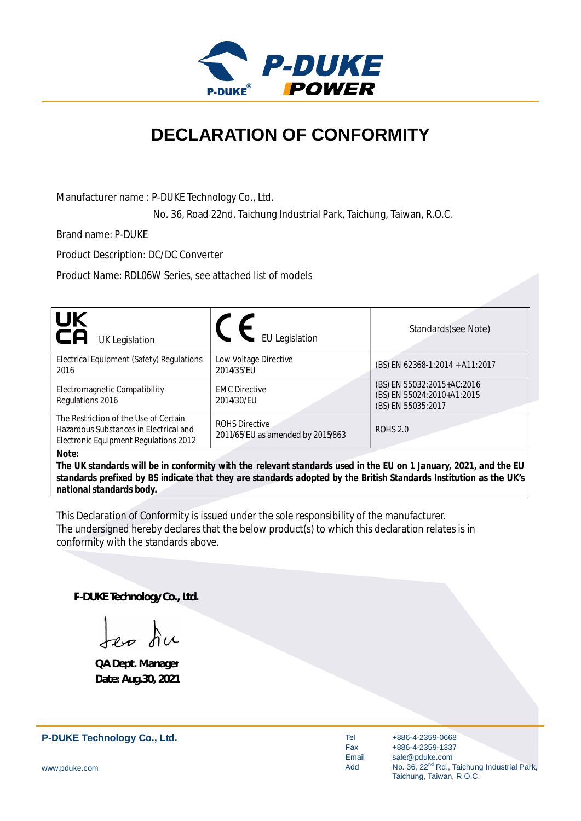

## **DECLARATION OF CONFORMITY**

Manufacturer name : P-DUKE Technology Co., Ltd.

No. 36, Road 22nd, Taichung Industrial Park, Taichung, Taiwan, R.O.C.

Brand name: P-DUKE

Product Description: DC/DC Converter

Product Name: RDL06W Series, see attached list of models

| UK<br>CA<br><b>UK Legislation</b>                                                                                        | <b>EU Legislation</b>                                      | Standards(see Note)                                                                                                |
|--------------------------------------------------------------------------------------------------------------------------|------------------------------------------------------------|--------------------------------------------------------------------------------------------------------------------|
| Electrical Equipment (Safety) Regulations<br>2016                                                                        | Low Voltage Directive<br>2014/35/EU                        | (BS) EN 62368-1:2014 + A11:2017                                                                                    |
| Electromagnetic Compatibility<br>Regulations 2016                                                                        | <b>EMC Directive</b><br>2014/30/EU                         | (BS) EN 55032:2015+AC:2016<br>(BS) EN 55024:2010+A1:2015<br>(BS) EN 55035:2017                                     |
| The Restriction of the Use of Certain<br>Hazardous Substances in Electrical and<br>Electronic Equipment Regulations 2012 | <b>ROHS Directive</b><br>2011/65/EU as amended by 2015/863 | <b>ROHS 2.0</b>                                                                                                    |
| Note:                                                                                                                    |                                                            | The LIK standards will be in conformity with the relevant standards used in the ELL on 1 January 2021, and the ELL |

*The UK standards will be in conformity with the relevant standards used in the EU on 1 January, 2021, and the EU standards prefixed by BS indicate that they are standards adopted by the British Standards Institution as the UK's national standards body.*

This Declaration of Conformity is issued under the sole responsibility of the manufacturer. The undersigned hereby declares that the below product(s) to which this declaration relates is in conformity with the standards above.

**P-DUKE Technology Co., Ltd.**

**QA Dept. Manager Date: Aug.30, 2021**

**P-DUKE Technology Co., Ltd.**

Tel Fax Email Add

+886-4-2359-0668 +886-4-2359-1337 sale@pduke.com No. 36, 22<sup>nd</sup> Rd., Taichung Industrial Park, Taichung, Taiwan, R.O.C.